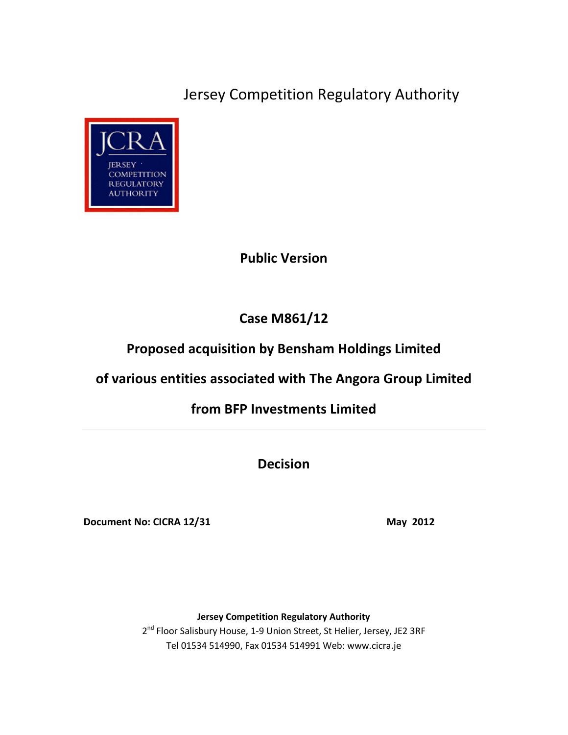Jersey Competition Regulatory Authority



## **Public Version**

# **Case M861/12**

# **Proposed acquisition by Bensham Holdings Limited**

# **of various entities associated with The Angora Group Limited**

# **from BFP Investments Limited**

**Decision**

**Document No: CICRA 12/31** May 2012

**Jersey Competition Regulatory Authority**

2<sup>nd</sup> Floor Salisbury House, 1-9 Union Street, St Helier, Jersey, JE2 3RF Tel 01534 514990, Fax 01534 514991 Web: www.cicra.je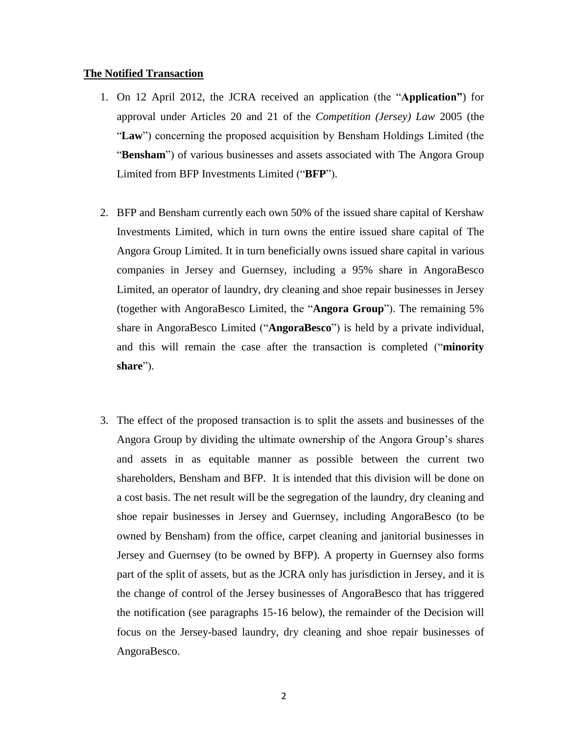### **The Notified Transaction**

- 1. On 12 April 2012, the JCRA received an application (the "**Application"**) for approval under Articles 20 and 21 of the *Competition (Jersey) Law* 2005 (the "**Law**") concerning the proposed acquisition by Bensham Holdings Limited (the "**Bensham**") of various businesses and assets associated with The Angora Group Limited from BFP Investments Limited ("**BFP**").
- 2. BFP and Bensham currently each own 50% of the issued share capital of Kershaw Investments Limited, which in turn owns the entire issued share capital of The Angora Group Limited. It in turn beneficially owns issued share capital in various companies in Jersey and Guernsey, including a 95% share in AngoraBesco Limited, an operator of laundry, dry cleaning and shoe repair businesses in Jersey (together with AngoraBesco Limited, the "**Angora Group**"). The remaining 5% share in AngoraBesco Limited ("**AngoraBesco**") is held by a private individual, and this will remain the case after the transaction is completed ("**minority share**").
- 3. The effect of the proposed transaction is to split the assets and businesses of the Angora Group by dividing the ultimate ownership of the Angora Group's shares and assets in as equitable manner as possible between the current two shareholders, Bensham and BFP. It is intended that this division will be done on a cost basis. The net result will be the segregation of the laundry, dry cleaning and shoe repair businesses in Jersey and Guernsey, including AngoraBesco (to be owned by Bensham) from the office, carpet cleaning and janitorial businesses in Jersey and Guernsey (to be owned by BFP). A property in Guernsey also forms part of the split of assets, but as the JCRA only has jurisdiction in Jersey, and it is the change of control of the Jersey businesses of AngoraBesco that has triggered the notification (see paragraphs 15-16 below), the remainder of the Decision will focus on the Jersey-based laundry, dry cleaning and shoe repair businesses of AngoraBesco.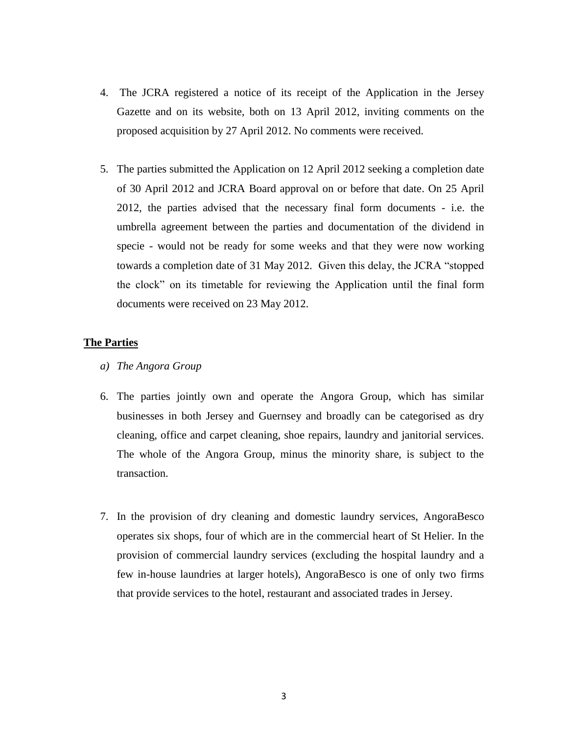- 4. The JCRA registered a notice of its receipt of the Application in the Jersey Gazette and on its website, both on 13 April 2012, inviting comments on the proposed acquisition by 27 April 2012. No comments were received.
- 5. The parties submitted the Application on 12 April 2012 seeking a completion date of 30 April 2012 and JCRA Board approval on or before that date. On 25 April 2012, the parties advised that the necessary final form documents - i.e. the umbrella agreement between the parties and documentation of the dividend in specie - would not be ready for some weeks and that they were now working towards a completion date of 31 May 2012. Given this delay, the JCRA "stopped the clock" on its timetable for reviewing the Application until the final form documents were received on 23 May 2012.

## **The Parties**

- *a) The Angora Group*
- 6. The parties jointly own and operate the Angora Group, which has similar businesses in both Jersey and Guernsey and broadly can be categorised as dry cleaning, office and carpet cleaning, shoe repairs, laundry and janitorial services. The whole of the Angora Group, minus the minority share, is subject to the transaction.
- 7. In the provision of dry cleaning and domestic laundry services, AngoraBesco operates six shops, four of which are in the commercial heart of St Helier. In the provision of commercial laundry services (excluding the hospital laundry and a few in-house laundries at larger hotels), AngoraBesco is one of only two firms that provide services to the hotel, restaurant and associated trades in Jersey.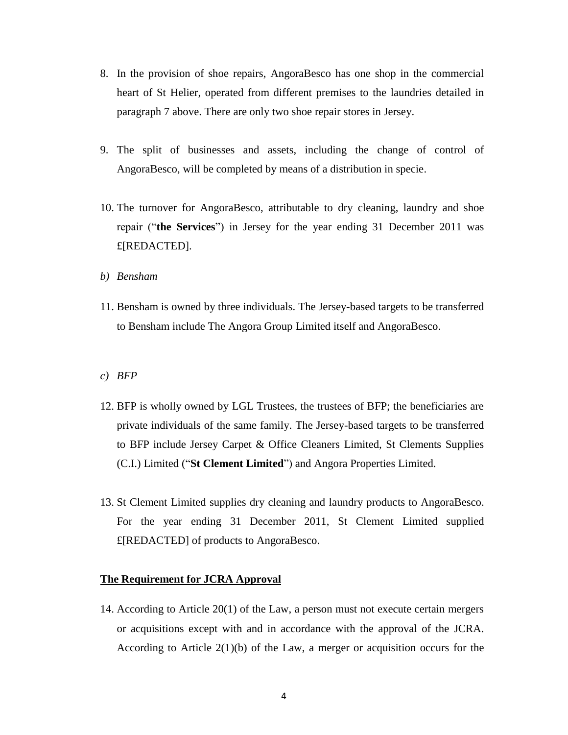- 8. In the provision of shoe repairs, AngoraBesco has one shop in the commercial heart of St Helier, operated from different premises to the laundries detailed in paragraph 7 above. There are only two shoe repair stores in Jersey.
- 9. The split of businesses and assets, including the change of control of AngoraBesco, will be completed by means of a distribution in specie.
- 10. The turnover for AngoraBesco, attributable to dry cleaning, laundry and shoe repair ("**the Services**") in Jersey for the year ending 31 December 2011 was £[REDACTED].
- *b) Bensham*
- 11. Bensham is owned by three individuals. The Jersey-based targets to be transferred to Bensham include The Angora Group Limited itself and AngoraBesco.
- *c) BFP*
- 12. BFP is wholly owned by LGL Trustees, the trustees of BFP; the beneficiaries are private individuals of the same family. The Jersey-based targets to be transferred to BFP include Jersey Carpet & Office Cleaners Limited, St Clements Supplies (C.I.) Limited ("**St Clement Limited**") and Angora Properties Limited.
- 13. St Clement Limited supplies dry cleaning and laundry products to AngoraBesco. For the year ending 31 December 2011, St Clement Limited supplied £[REDACTED] of products to AngoraBesco.

## **The Requirement for JCRA Approval**

14. According to Article 20(1) of the Law, a person must not execute certain mergers or acquisitions except with and in accordance with the approval of the JCRA. According to Article 2(1)(b) of the Law, a merger or acquisition occurs for the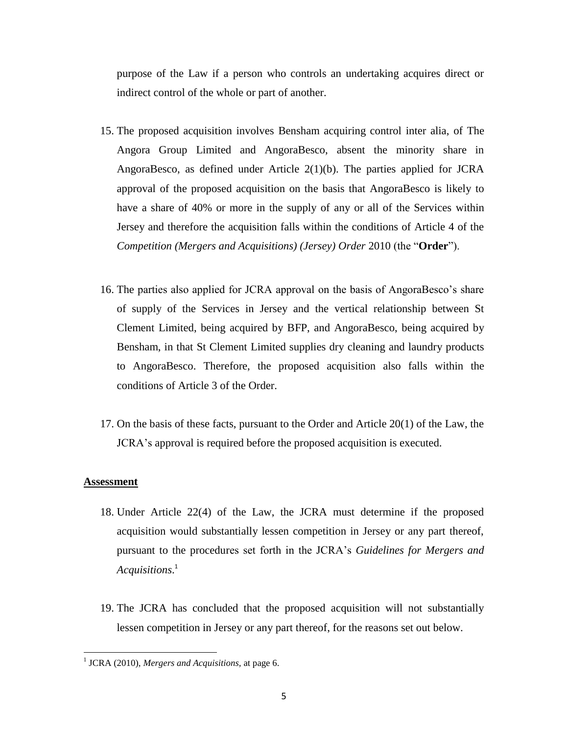purpose of the Law if a person who controls an undertaking acquires direct or indirect control of the whole or part of another.

- 15. The proposed acquisition involves Bensham acquiring control inter alia, of The Angora Group Limited and AngoraBesco, absent the minority share in AngoraBesco, as defined under Article 2(1)(b). The parties applied for JCRA approval of the proposed acquisition on the basis that AngoraBesco is likely to have a share of 40% or more in the supply of any or all of the Services within Jersey and therefore the acquisition falls within the conditions of Article 4 of the *Competition (Mergers and Acquisitions) (Jersey) Order* 2010 (the "**Order**").
- 16. The parties also applied for JCRA approval on the basis of AngoraBesco's share of supply of the Services in Jersey and the vertical relationship between St Clement Limited, being acquired by BFP, and AngoraBesco, being acquired by Bensham, in that St Clement Limited supplies dry cleaning and laundry products to AngoraBesco. Therefore, the proposed acquisition also falls within the conditions of Article 3 of the Order.
- 17. On the basis of these facts, pursuant to the Order and Article 20(1) of the Law, the JCRA's approval is required before the proposed acquisition is executed.

### **Assessment**

 $\overline{\phantom{a}}$ 

- 18. Under Article 22(4) of the Law, the JCRA must determine if the proposed acquisition would substantially lessen competition in Jersey or any part thereof, pursuant to the procedures set forth in the JCRA's *Guidelines for Mergers and Acquisitions*. 1
- 19. The JCRA has concluded that the proposed acquisition will not substantially lessen competition in Jersey or any part thereof, for the reasons set out below.

<sup>1</sup> JCRA (2010), *Mergers and Acquisitions,* at page 6.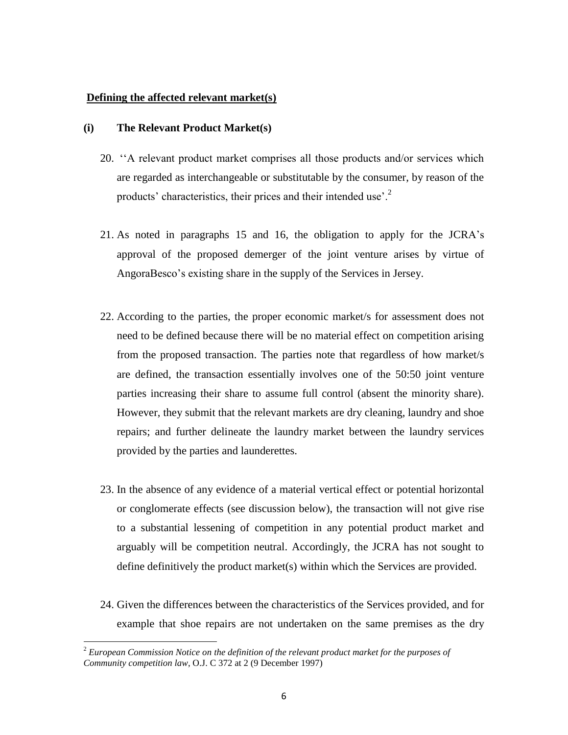### **Defining the affected relevant market(s)**

### **(i) The Relevant Product Market(s)**

- 20. ''A relevant product market comprises all those products and/or services which are regarded as interchangeable or substitutable by the consumer, by reason of the products' characteristics, their prices and their intended use'.<sup>2</sup>
- 21. As noted in paragraphs 15 and 16, the obligation to apply for the JCRA's approval of the proposed demerger of the joint venture arises by virtue of AngoraBesco's existing share in the supply of the Services in Jersey.
- 22. According to the parties, the proper economic market/s for assessment does not need to be defined because there will be no material effect on competition arising from the proposed transaction. The parties note that regardless of how market/s are defined, the transaction essentially involves one of the 50:50 joint venture parties increasing their share to assume full control (absent the minority share). However, they submit that the relevant markets are dry cleaning, laundry and shoe repairs; and further delineate the laundry market between the laundry services provided by the parties and launderettes.
- 23. In the absence of any evidence of a material vertical effect or potential horizontal or conglomerate effects (see discussion below), the transaction will not give rise to a substantial lessening of competition in any potential product market and arguably will be competition neutral. Accordingly, the JCRA has not sought to define definitively the product market(s) within which the Services are provided.
- 24. Given the differences between the characteristics of the Services provided, and for example that shoe repairs are not undertaken on the same premises as the dry

 $\overline{\phantom{a}}$ 

<sup>2</sup> *European Commission Notice on the definition of the relevant product market for the purposes of Community competition law*, O.J. C 372 at 2 (9 December 1997)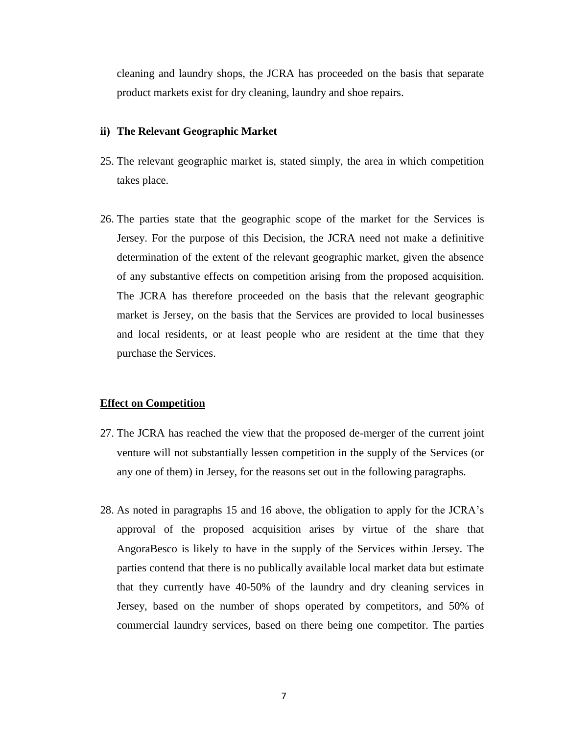cleaning and laundry shops, the JCRA has proceeded on the basis that separate product markets exist for dry cleaning, laundry and shoe repairs.

#### **ii) The Relevant Geographic Market**

- 25. The relevant geographic market is, stated simply, the area in which competition takes place.
- 26. The parties state that the geographic scope of the market for the Services is Jersey. For the purpose of this Decision, the JCRA need not make a definitive determination of the extent of the relevant geographic market, given the absence of any substantive effects on competition arising from the proposed acquisition. The JCRA has therefore proceeded on the basis that the relevant geographic market is Jersey, on the basis that the Services are provided to local businesses and local residents, or at least people who are resident at the time that they purchase the Services.

### **Effect on Competition**

- 27. The JCRA has reached the view that the proposed de-merger of the current joint venture will not substantially lessen competition in the supply of the Services (or any one of them) in Jersey, for the reasons set out in the following paragraphs.
- 28. As noted in paragraphs 15 and 16 above, the obligation to apply for the JCRA's approval of the proposed acquisition arises by virtue of the share that AngoraBesco is likely to have in the supply of the Services within Jersey. The parties contend that there is no publically available local market data but estimate that they currently have 40-50% of the laundry and dry cleaning services in Jersey, based on the number of shops operated by competitors, and 50% of commercial laundry services, based on there being one competitor. The parties